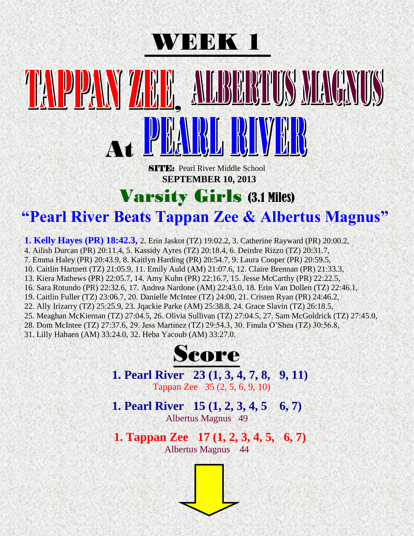

# BUILS MEACHUIS , At

**SITE:** Pearl River Middle School  **SEPTEMBER 10, 2013**

# Varsity Girls (3.1 Miles)

## **"Pearl River Beats Tappan Zee & Albertus Magnus"**

**1. Kelly Hayes (PR) 18:42.3,** 2. Erin Jaskot (TZ) 19:02.2, 3. Catherine Rayward (PR) 20:00.2,

4. Ailish Durcan (PR) 20:11.4, 5. Kassidy Ayres (TZ) 20:18.4, 6. Deirdre Rizzo (TZ) 20:31.7,

7. Emma Haley (PR) 20:43.9, 8. Kaitlyn Harding (PR) 20:54.7, 9. Laura Cooper (PR) 20:59.5,

10. Caitlin Hartnett (TZ) 21:05.9, 11. Emily Auld (AM) 21:07.6, 12. Claire Brennan (PR) 21:33.3,

13. Kiera Mathews (PR) 22:05.7, 14. Amy Kuhn (PR) 22:16.7, 15. Jesse McCarthy (PR) 22:22.5,

16. Sara Rotundo (PR) 22:32.6, 17. Andrea Nardone (AM) 22:43.0, 18. Erin Van Dollen (TZ) 22:46.1,

19. Caitlin Fuller (TZ) 23:06.7, 20. Danielle McIntee (TZ) 24:00, 21. Cristen Ryan (PR) 24:46.2,

22. Ally Irizarry (TZ) 25:25.9, 23. Jqackie Parke (AM) 25:38.8, 24. Grace Slavin (TZ) 26:18.5,

25. Meaghan McKiernan (TZ) 27:04.5, 26. Olivia Sullivan (TZ) 27:04.5, 27. Sam McGoldrick (TZ) 27:45.0,

28. Dom McIntee (TZ) 27:37.6, 29. Jess Martinez (TZ) 29:54.3, 30. Finula O'Shea (TZ) 30:56.8,

31. Lilly Hahaen (AM) 33:24.0, 32. Heba Yacoub (AM) 33:27.0.



**1. Pearl River 23 (1, 3, 4, 7, 8, 9, 11)** Tappan Zee 35 (2, 5, 6, 9, 10)

**1. Pearl River 15 (1, 2, 3, 4, 5 6, 7)** Albertus Magnus 49

 **1. Tappan Zee 17 (1, 2, 3, 4, 5, 6, 7)**  Albertus Magnus 44

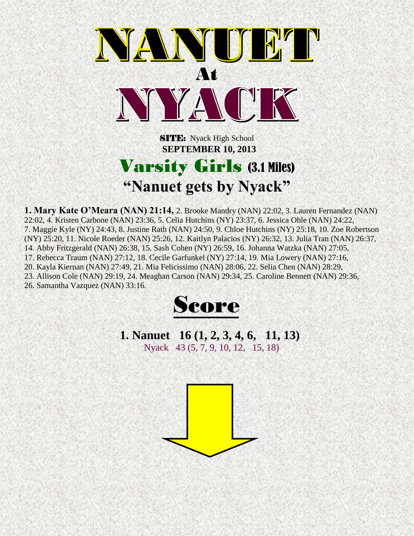

**SITE:** Nyack High School  **SEPTEMBER 10, 2013**

# Varsity Girls (3.1 Miles) **"Nanuet gets by Nyack"**

**1. Mary Kate O'Meara (NAN) 21:14,** 2. Brooke Mandry (NAN) 22:02, 3. Lauren Fernandez (NAN) 22:02, 4. Kristen Carbone (NAN) 23:36, 5. Celia Hutchins (NY) 23:37, 6. Jessica Ohle (NAN) 24:22, 7. Maggie Kyle (NY) 24:43, 8. Justine Rath (NAN) 24:50, 9. Chloe Hutchins (NY) 25:18, 10. Zoe Robertson (NY) 25:20, 11. Nicole Roeder (NAN) 25:26, 12. Kaitlyn Palacios (NY) 26:32, 13. Julia Tran (NAN) 26:37, 14. Abby Fritzgerald (NAN) 26:38, 15. Sash Cohen (NY) 26:59, 16. Johanna Watzka (NAN) 27:05, 17. Rebecca Traum (NAN) 27:12, 18. Cecile Garfunkel (NY) 27:14, 19. Mia Lowery (NAN) 27:16, 20. Kayla Kiernan (NAN) 27:49, 21. Mia Felicissimo (NAN) 28:06, 22. Selia Chen (NAN) 28:29, 23. Allison Cole (NAN) 29:19, 24. Meaghan Carson (NAN) 29:34, 25. Caroline Bennett (NAN) 29:36, 26. Samantha Vazquez (NAN) 33:16.



**1. Nanuet 16 (1, 2, 3, 4, 6, 11, 13)** Nyack 43 (5, 7, 9, 10, 12, 15, 18)

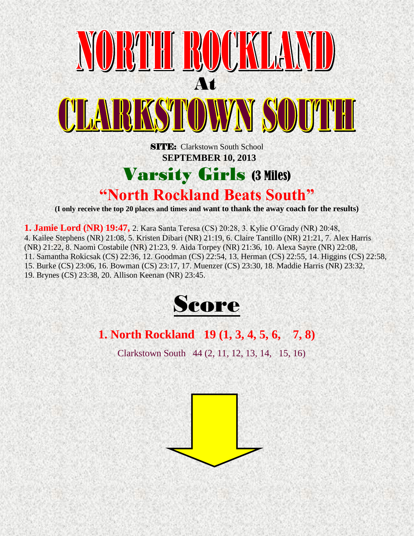

**1. Jamie Lord (NR) 19:47,** 2. Kara Santa Teresa (CS) 20:28, 3. Kylie O'Grady (NR) 20:48, 4. Kailee Stephens (NR) 21:08, 5. Kristen Dibari (NR) 21:19, 6. Claire Tantillo (NR) 21:21, 7. Alex Harris (NR) 21:22, 8. Naomi Costabile (NR) 21:23, 9. Aida Torpey (NR) 21:36, 10. Alexa Sayre (NR) 22:08, 11. Samantha Rokicsak (CS) 22:36, 12. Goodman (CS) 22:54, 13. Herman (CS) 22:55, 14. Higgins (CS) 22:58, 15. Burke (CS) 23:06, 16. Bowman (CS) 23:17, 17. Muenzer (CS) 23:30, 18. Maddie Harris (NR) 23:32, 19. Brynes (CS) 23:38, 20. Allison Keenan (NR) 23:45.



### **1. North Rockland 19 (1, 3, 4, 5, 6, 7, 8)**

Clarkstown South 44 (2, 11, 12, 13, 14, 15, 16)

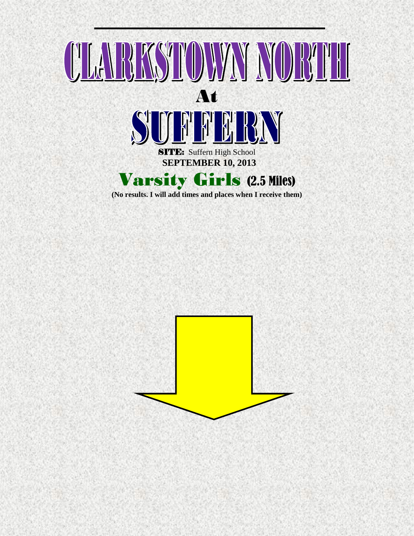

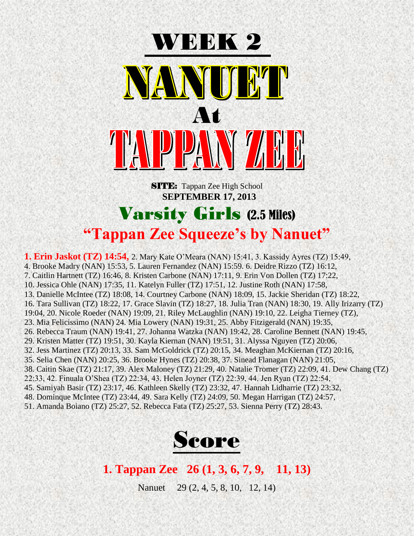

**SITE:** Tappan Zee High School **SEPTEMBER 17, 2013**

## Varsity Girls (2.5 Miles) **"Tappan Zee Squeeze's by Nanuet"**

**1. Erin Jaskot (TZ) 14:54,** 2. Mary Kate O'Meara (NAN) 15:41, 3. Kassidy Ayres (TZ) 15:49, 4. Brooke Madry (NAN) 15:53, 5. Lauren Fernandez (NAN) 15:59. 6. Deidre Rizzo (TZ) 16:12, 7. Caitlin Hartnett (TZ) 16:46, 8. Kristen Carbone (NAN) 17:11, 9. Erin Von Dollen (TZ) 17:22, 10. Jessica Ohle (NAN) 17:35, 11. Katelyn Fuller (TZ) 17:51, 12. Justine Roth (NAN) 17:58, 13. Danielle McIntee (TZ) 18:08, 14. Courtney Carbone (NAN) 18:09, 15. Jackie Sheridan (TZ) 18:22, 16. Tara Sullivan (TZ) 18:22, 17. Grace Slavin (TZ) 18:27, 18. Julia Tran (NAN) 18:30, 19. Ally Irizarry (TZ) 19:04, 20. Nicole Roeder (NAN) 19:09, 21. Riley McLaughlin (NAN) 19:10, 22. Leigha Tierney (TZ), 23. Mia Felicissimo (NAN) 24. Mia Lowery (NAN) 19:31, 25. Abby Fitzigerald (NAN) 19:35, 26. Rebecca Traum (NAN) 19:41, 27. Johanna Watzka (NAN) 19:42, 28. Caroline Bennett (NAN) 19:45, 29. Kristen Matter (TZ) 19:51, 30. Kayla Kiernan (NAN) 19:51, 31. Alyssa Nguyen (TZ) 20:06, 32. Jess Martinez (TZ) 20:13, 33. Sam McGoldrick (TZ) 20:15, 34. Meaghan McKiernan (TZ) 20:16, 35. Selia Chen (NAN) 20:25, 36. Brooke Hynes (TZ) 20:38, 37. Sinead Flanagan (NAN) 21:05, 38. Caitin Skae (TZ) 21:17, 39. Alex Maloney (TZ) 21:29, 40. Natalie Tromer (TZ) 22:09, 41. Dew Chang (TZ) 22:33, 42. Finuala O'Shea (TZ) 22:34, 43. Helen Joyner (TZ) 22:39, 44. Jen Ryan (TZ) 22:54, 45. Samiyah Basir (TZ) 23:17, 46. Kathleen Skelly (TZ) 23:32, 47. Hannah Lidharrie (TZ) 23:32, 48. Dominque McIntee (TZ) 23:44, 49. Sara Kelly (TZ) 24:09, 50. Megan Harrigan (TZ) 24:57, 51. Amanda Boiano (TZ) 25:27, 52. Rebecca Fata (TZ) 25:27, 53. Sienna Perry (TZ) 28:43.



#### **1. Tappan Zee 26 (1, 3, 6, 7, 9, 11, 13)**

Nanuet 29 (2, 4, 5, 8, 10, 12, 14)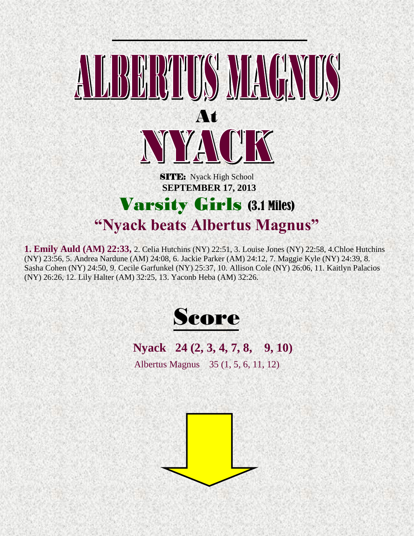

**1. Emily Auld (AM) 22:33,** 2. Celia Hutchins (NY) 22:51, 3. Louise Jones (NY) 22:58, 4.Chloe Hutchins (NY) 23:56, 5. Andrea Nardune (AM) 24:08, 6. Jackie Parker (AM) 24:12, 7. Maggie Kyle (NY) 24:39, 8. Sasha Cohen (NY) 24:50, 9. Cecile Garfunkel (NY) 25:37, 10. Allison Cole (NY) 26:06, 11. Kaitlyn Palacios (NY) 26:26, 12. Lily Halter (AM) 32:25, 13. Yaconb Heba (AM) 32:26.



### **Nyack 24 (2, 3, 4, 7, 8, 9, 10)**

Albertus Magnus 35 (1, 5, 6, 11, 12)

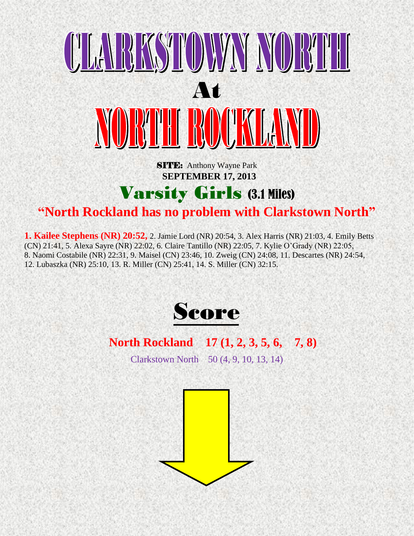

**SITE:** Anthony Wayne Park  **SEPTEMBER 17, 2013**

# Varsity Girls (3.1 Miles)

### **"North Rockland has no problem with Clarkstown North"**

**1. Kailee Stephens (NR) 20:52,** 2. Jamie Lord (NR) 20:54, 3. Alex Harris (NR) 21:03, 4. Emily Betts (CN) 21:41, 5. Alexa Sayre (NR) 22:02, 6. Claire Tantillo (NR) 22:05, 7. Kylie O'Grady (NR) 22:05, 8. Naomi Costabile (NR) 22:31, 9. Maisel (CN) 23:46, 10. Zweig (CN) 24:08, 11. Descartes (NR) 24:54, 12. Lubaszka (NR) 25:10, 13. R. Miller (CN) 25:41, 14. S. Miller (CN) 32:15.



#### **North Rockland 17 (1, 2, 3, 5, 6, 7, 8)**

Clarkstown North 50 (4, 9, 10, 13, 14)

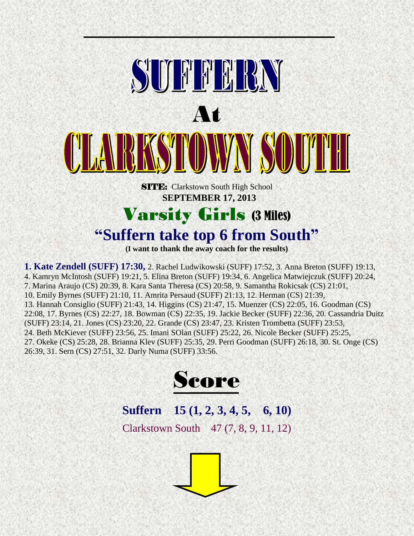

**(I want to thank the away coach for the results)**

**1. Kate Zendell (SUFF) 17:30,** 2. Rachel Ludwikowski (SUFF) 17:52, 3. Anna Breton (SUFF) 19:13, 4. Kamryn McIntosh (SUFF) 19:21, 5. Elina Breton (SUFF) 19:34, 6. Angelica Matwiejczuk (SUFF) 20:24, 7. Marina Araujo (CS) 20:39, 8. Kara Santa Theresa (CS) 20:58, 9. Samantha Rokicsak (CS) 21:01, 10. Emily Byrnes (SUFF) 21:10, 11. Amrita Persaud (SUFF) 21:13, 12. Herman (CS) 21:39, 13. Hannah Consiglio (SUFF) 21:43, 14. Higgins (CS) 21:47, 15. Muenzer (CS) 22:05, 16. Goodman (CS) 22:08, 17. Byrnes (CS) 22:27, 18. Bowman (CS) 22:35, 19. Jackie Becker (SUFF) 22:36, 20. Cassandria Duitz (SUFF) 23:14, 21. Jones (CS) 23:20, 22. Grande (CS) 23:47, 23. Kristen Trombetta (SUFF) 23:53, 24. Beth McKiever (SUFF) 23:56, 25. Imani SOlan (SUFF) 25:22, 26. Nicole Becker (SUFF) 25:25, 27. Okeke (CS) 25:28, 28. Brianna Klev (SUFF) 25:35, 29. Perri Goodman (SUFF) 26:18, 30. St. Onge (CS) 26:39, 31. Sern (CS) 27:51, 32. Darly Numa (SUFF) 33:56.



# **Suffern 15 (1, 2, 3, 4, 5, 6, 10)**

Clarkstown South 47 (7, 8, 9, 11, 12)

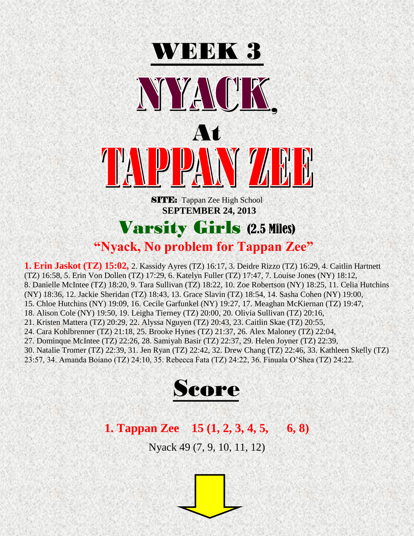

 **SEPTEMBER 24, 2013**

### Varsity Girls (2.5 Miles) **"Nyack, No problem for Tappan Zee"**

**1. Erin Jaskot (TZ) 15:02,** 2. Kassidy Ayres (TZ) 16:17, 3. Deidre Rizzo (TZ) 16:29, 4. Caitlin Hartnett (TZ) 16:58, 5. Erin Von Dollen (TZ) 17:29, 6. Katelyn Fuller (TZ) 17:47, 7. Louise Jones (NY) 18:12, 8. Danielle McIntee (TZ) 18:20, 9. Tara Sullivan (TZ) 18:22, 10. Zoe Robertson (NY) 18:25, 11. Celia Hutchins (NY) 18:36, 12. Jackie Sheridan (TZ) 18:43, 13. Grace Slavin (TZ) 18:54, 14. Sasha Cohen (NY) 19:00, 15. Chloe Hutchins (NY) 19:09, 16. Cecile Garfunkel (NY) 19:27, 17. Meaghan McKiernan (TZ) 19:47, 18. Alison Cole (NY) 19:50, 19. Leigha Tierney (TZ) 20:00, 20. Olivia Sullivan (TZ) 20:16, 21. Kristen Mattera (TZ) 20:29, 22. Alyssa Nguyen (TZ) 20:43, 23. Caitlin Skae (TZ) 20:55, 24. Cara Kohlbrenner (TZ) 21:18, 25. Brooke Hynes (TZ) 21:37, 26. Alex Maloney (TZ) 22:04, 27. Dominque McIntee (TZ) 22:26, 28. Samiyah Basir (TZ) 22:37, 29. Helen Joyner (TZ) 22:39, 30. Natalie Tromer (TZ) 22:39, 31. Jen Ryan (TZ) 22:42, 32. Drew Chang (TZ) 22:46, 33. Kathleen Skelly (TZ) 23:57, 34. Amanda Boiano (TZ) 24:10, 35. Rebecca Fata (TZ) 24:22, 36. Finuala O'Shea (TZ) 24:22.



#### **1. Tappan Zee 15 (1, 2, 3, 4, 5, 6, 8)**

Nyack 49 (7, 9, 10, 11, 12)

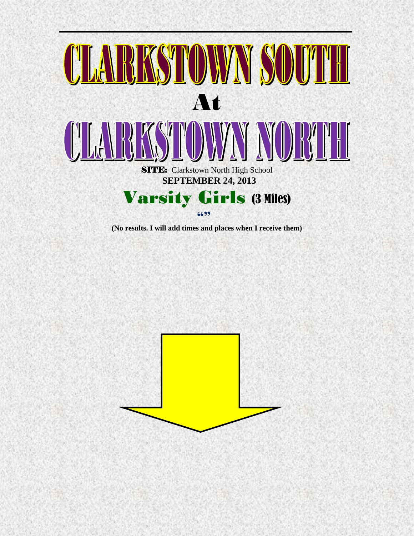

**(No results. I will add times and places when I receive them)**

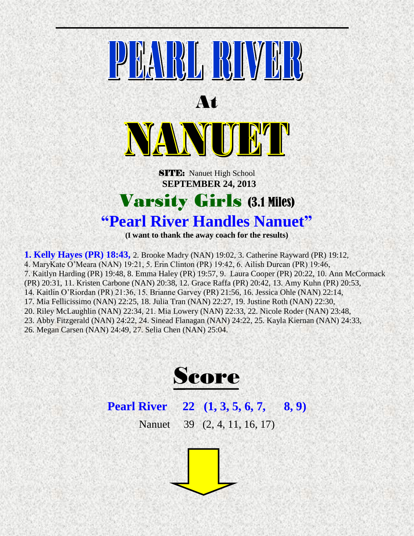

**(I want to thank the away coach for the results)**

**1. Kelly Hayes (PR) 18:43,** 2. Brooke Madry (NAN) 19:02, 3. Catherine Rayward (PR) 19:12, 4. MaryKate O'Meara (NAN) 19:21, 5. Erin Clinton (PR) 19:42, 6. Ailish Durcan (PR) 19:46, 7. Kaitlyn Harding (PR) 19:48, 8. Emma Haley (PR) 19:57, 9. Laura Cooper (PR) 20:22, 10. Ann McCormack (PR) 20:31, 11. Kristen Carbone (NAN) 20:38, 12. Grace Raffa (PR) 20:42, 13. Amy Kuhn (PR) 20:53, 14. Kaitlin O'Riordan (PR) 21:36, 15. Brianne Garvey (PR) 21:56, 16. Jessica Ohle (NAN) 22:14, 17. Mia Fellicissimo (NAN) 22:25, 18. Julia Tran (NAN) 22:27, 19. Justine Roth (NAN) 22:30, 20. Riley McLaughlin (NAN) 22:34, 21. Mia Lowery (NAN) 22:33, 22. Nicole Roder (NAN) 23:48, 23. Abby Fitzgerald (NAN) 24:22, 24. Sinead Flanagan (NAN) 24:22, 25. Kayla Kiernan (NAN) 24:33, 26. Megan Carsen (NAN) 24:49, 27. Selia Chen (NAN) 25:04.



#### **Pearl River 22 (1, 3, 5, 6, 7, 8, 9)**

Nanuet 39 (2, 4, 11, 16, 17)

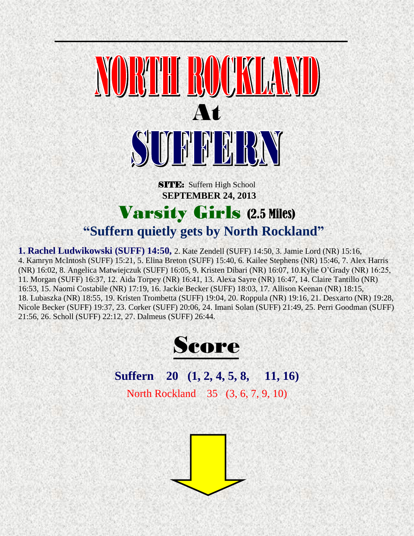

**SITE:** Suffern High School  **SEPTEMBER 24, 2013**

# Varsity Girls (2.5 Miles)

#### **"Suffern quietly gets by North Rockland"**

**1. Rachel Ludwikowski (SUFF) 14:50,** 2. Kate Zendell (SUFF) 14:50, 3. Jamie Lord (NR) 15:16, 4. Kamryn McIntosh (SUFF) 15:21, 5. Elina Breton (SUFF) 15:40, 6. Kailee Stephens (NR) 15:46, 7. Alex Harris (NR) 16:02, 8. Angelica Matwiejczuk (SUFF) 16:05, 9. Kristen Dibari (NR) 16:07, 10.Kylie O'Grady (NR) 16:25, 11. Morgan (SUFF) 16:37, 12. Aida Torpey (NR) 16:41, 13. Alexa Sayre (NR) 16:47, 14. Claire Tantillo (NR) 16:53, 15. Naomi Costabile (NR) 17:19, 16. Jackie Becker (SUFF) 18:03, 17. Allison Keenan (NR) 18:15, 18. Lubaszka (NR) 18:55, 19. Kristen Trombetta (SUFF) 19:04, 20. Roppula (NR) 19:16, 21. Desxarto (NR) 19:28, Nicole Becker (SUFF) 19:37, 23. Corker (SUFF) 20:06, 24. Imani Solan (SUFF) 21:49, 25. Perri Goodman (SUFF) 21:56, 26. Scholl (SUFF) 22:12, 27. Dalmeus (SUFF) 26:44.



### **Suffern 20 (1, 2, 4, 5, 8, 11, 16)**

North Rockland 35 (3, 6, 7, 9, 10)